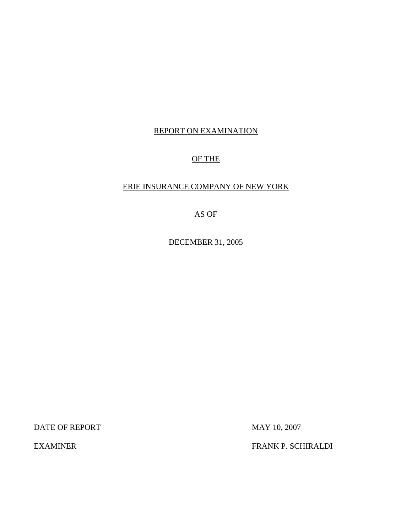# REPORT ON EXAMINATION

# OF THE

# ERIE INSURANCE COMPANY OF NEW YORK

# AS OF

DECEMBER 31, 2005

DATE OF REPORT MAY 10, 2007

EXAMINER FRANK P. SCHIRALDI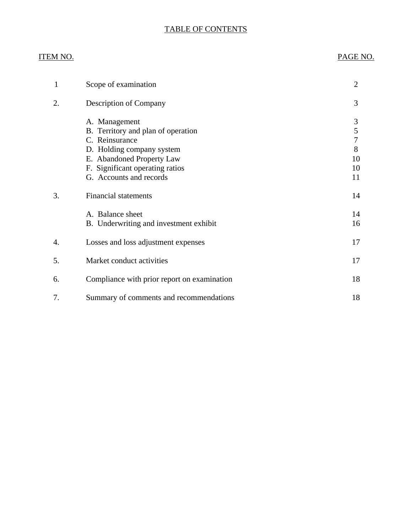# TABLE OF CONTENTS

# ITEM NO. PAGE NO.

| 1  | Scope of examination                                                                                                                                                                          | $\overline{2}$                                  |
|----|-----------------------------------------------------------------------------------------------------------------------------------------------------------------------------------------------|-------------------------------------------------|
| 2. | <b>Description of Company</b>                                                                                                                                                                 | 3                                               |
|    | A. Management<br>B. Territory and plan of operation<br>C. Reinsurance<br>D. Holding company system<br>E. Abandoned Property Law<br>F. Significant operating ratios<br>G. Accounts and records | 3<br>5<br>$\overline{7}$<br>8<br>10<br>10<br>11 |
| 3. | <b>Financial statements</b>                                                                                                                                                                   | 14                                              |
|    | A. Balance sheet<br>B. Underwriting and investment exhibit                                                                                                                                    | 14<br>16                                        |
| 4. | Losses and loss adjustment expenses                                                                                                                                                           | 17                                              |
| 5. | Market conduct activities                                                                                                                                                                     | 17                                              |
| 6. | Compliance with prior report on examination                                                                                                                                                   | 18                                              |
| 7. | Summary of comments and recommendations                                                                                                                                                       | 18                                              |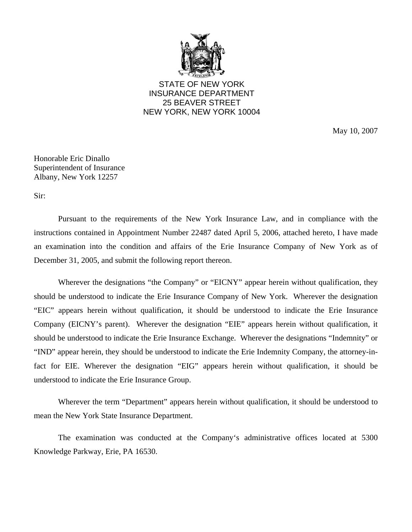

STATE OF NEW YORK INSURANCE DEPARTMENT 25 BEAVER STREET NEW YORK, NEW YORK 10004

May 10, 2007

Honorable Eric Dinallo Superintendent of Insurance Albany, New York 12257

Sir:

Pursuant to the requirements of the New York Insurance Law, and in compliance with the instructions contained in Appointment Number 22487 dated April 5, 2006, attached hereto, I have made an examination into the condition and affairs of the Erie Insurance Company of New York as of December 31, 2005, and submit the following report thereon.

Wherever the designations "the Company" or "EICNY" appear herein without qualification, they should be understood to indicate the Erie Insurance Company of New York. Wherever the designation "EIC" appears herein without qualification, it should be understood to indicate the Erie Insurance Company (EICNY's parent). Wherever the designation "EIE" appears herein without qualification, it should be understood to indicate the Erie Insurance Exchange. Wherever the designations "Indemnity" or "IND" appear herein, they should be understood to indicate the Erie Indemnity Company, the attorney-infact for EIE. Wherever the designation "EIG" appears herein without qualification, it should be understood to indicate the Erie Insurance Group.

Wherever the term "Department" appears herein without qualification, it should be understood to mean the New York State Insurance Department.

The examination was conducted at the Company's administrative offices located at 5300 Knowledge Parkway, Erie, PA 16530.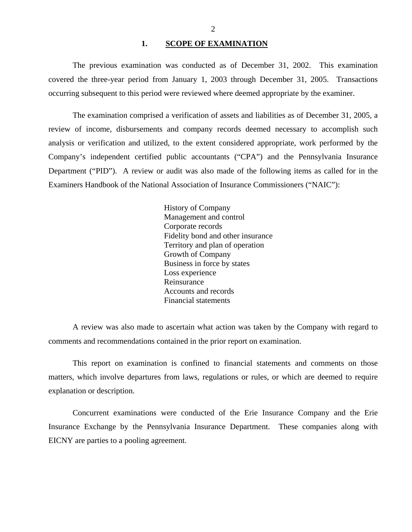## 1. SCOPE OF EXAMINATION

<span id="page-3-0"></span>The previous examination was conducted as of December 31, 2002. This examination covered the three-year period from January 1, 2003 through December 31, 2005. Transactions occurring subsequent to this period were reviewed where deemed appropriate by the examiner.

The examination comprised a verification of assets and liabilities as of December 31, 2005, a review of income, disbursements and company records deemed necessary to accomplish such analysis or verification and utilized, to the extent considered appropriate, work performed by the Company's independent certified public accountants ("CPA") and the Pennsylvania Insurance Department ("PID"). A review or audit was also made of the following items as called for in the Examiners Handbook of the National Association of Insurance Commissioners ("NAIC"):

> History of Company Management and control Corporate records Fidelity bond and other insurance Territory and plan of operation Growth of Company Business in force by states Loss experience Reinsurance Accounts and records Financial statements

A review was also made to ascertain what action was taken by the Company with regard to comments and recommendations contained in the prior report on examination.

This report on examination is confined to financial statements and comments on those matters, which involve departures from laws, regulations or rules, or which are deemed to require explanation or description.

Concurrent examinations were conducted of the Erie Insurance Company and the Erie Insurance Exchange by the Pennsylvania Insurance Department. These companies along with EICNY are parties to a pooling agreement.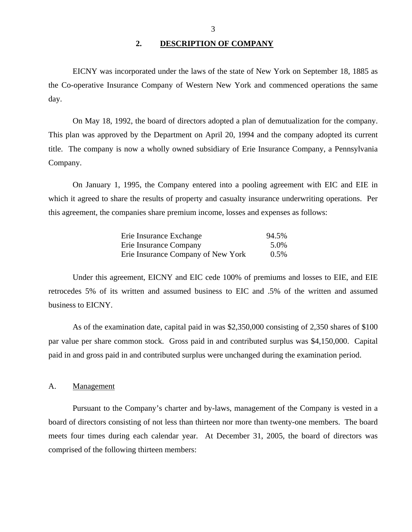## **2. DESCRIPTION OF COMPANY**

<span id="page-4-0"></span>EICNY was incorporated under the laws of the state of New York on September 18, 1885 as the Co-operative Insurance Company of Western New York and commenced operations the same day.

On May 18, 1992, the board of directors adopted a plan of demutualization for the company. This plan was approved by the Department on April 20, 1994 and the company adopted its current title. The company is now a wholly owned subsidiary of Erie Insurance Company, a Pennsylvania Company.

On January 1, 1995, the Company entered into a pooling agreement with EIC and EIE in which it agreed to share the results of property and casualty insurance underwriting operations. Per this agreement, the companies share premium income, losses and expenses as follows:

| Erie Insurance Exchange            | 94.5%   |
|------------------------------------|---------|
| Erie Insurance Company             | 5.0%    |
| Erie Insurance Company of New York | $0.5\%$ |

Under this agreement, EICNY and EIC cede 100% of premiums and losses to EIE, and EIE retrocedes 5% of its written and assumed business to EIC and .5% of the written and assumed business to EICNY.

As of the examination date, capital paid in was \$2,350,000 consisting of 2,350 shares of \$100 par value per share common stock. Gross paid in and contributed surplus was \$4,150,000. Capital paid in and gross paid in and contributed surplus were unchanged during the examination period.

## A. Management

Pursuant to the Company's charter and by-laws, management of the Company is vested in a board of directors consisting of not less than thirteen nor more than twenty-one members. The board meets four times during each calendar year. At December 31, 2005, the board of directors was comprised of the following thirteen members: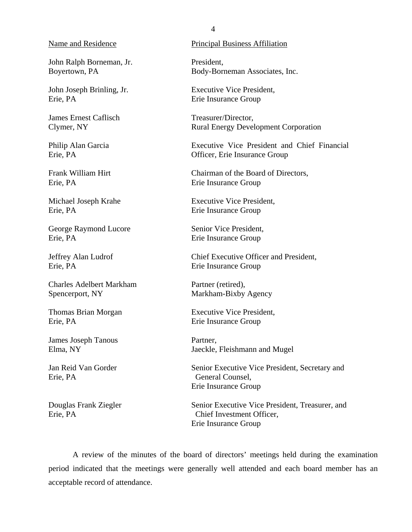John Ralph Borneman, Jr. Boyertown, PA

John Joseph Brinling, Jr. Erie, PA

James Ernest Caflisch Clymer, NY

Philip Alan Garcia Erie, PA

Frank William Hirt Erie, PA

Michael Joseph Krahe Erie, PA

George Raymond Lucore Erie, PA

Jeffrey Alan Ludrof Erie, PA

Charles Adelbert Markham Spencerport, NY

Thomas Brian Morgan Erie, PA

James Joseph Tanous Elma, NY

Jan Reid Van Gorder Erie, PA

Douglas Frank Ziegler Erie, PA

## Name and Residence Principal Business Affiliation

President, Body-Borneman Associates, Inc.

Executive Vice President, Erie Insurance Group

Treasurer/Director, Rural Energy Development Corporation

Executive Vice President and Chief Financial Officer, Erie Insurance Group

Chairman of the Board of Directors, Erie Insurance Group

Executive Vice President, Erie Insurance Group

Senior Vice President, Erie Insurance Group

Chief Executive Officer and President, Erie Insurance Group

Partner (retired), Markham-Bixby Agency

Executive Vice President, Erie Insurance Group

Partner, Jaeckle, Fleishmann and Mugel

Senior Executive Vice President, Secretary and General Counsel, Erie Insurance Group

Senior Executive Vice President, Treasurer, and Chief Investment Officer, Erie Insurance Group

A review of the minutes of the board of directors' meetings held during the examination period indicated that the meetings were generally well attended and each board member has an acceptable record of attendance.

4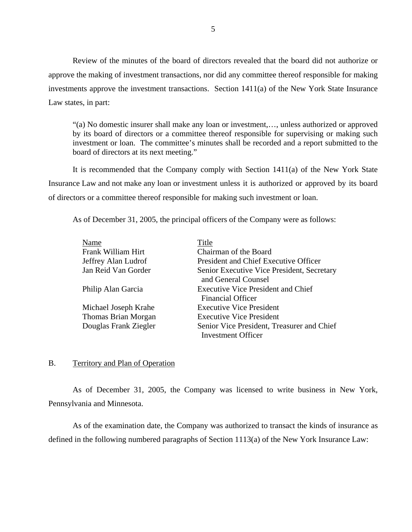<span id="page-6-0"></span>Review of the minutes of the board of directors revealed that the board did not authorize or approve the making of investment transactions, nor did any committee thereof responsible for making investments approve the investment transactions. Section 1411(a) of the New York State Insurance Law states, in part:

"(a) No domestic insurer shall make any loan or investment,…, unless authorized or approved by its board of directors or a committee thereof responsible for supervising or making such investment or loan. The committee's minutes shall be recorded and a report submitted to the board of directors at its next meeting."

It is recommended that the Company comply with Section 1411(a) of the New York State Insurance Law and not make any loan or investment unless it is authorized or approved by its board of directors or a committee thereof responsible for making such investment or loan.

As of December 31, 2005, the principal officers of the Company were as follows:

| Name                  | Title                                      |
|-----------------------|--------------------------------------------|
| Frank William Hirt    | Chairman of the Board                      |
| Jeffrey Alan Ludrof   | President and Chief Executive Officer      |
| Jan Reid Van Gorder   | Senior Executive Vice President, Secretary |
|                       | and General Counsel                        |
| Philip Alan Garcia    | <b>Executive Vice President and Chief</b>  |
|                       | <b>Financial Officer</b>                   |
| Michael Joseph Krahe  | <b>Executive Vice President</b>            |
| Thomas Brian Morgan   | <b>Executive Vice President</b>            |
| Douglas Frank Ziegler | Senior Vice President, Treasurer and Chief |
|                       | <b>Investment Officer</b>                  |

## B. Territory and Plan of Operation

As of December 31, 2005, the Company was licensed to write business in New York, Pennsylvania and Minnesota.

As of the examination date, the Company was authorized to transact the kinds of insurance as defined in the following numbered paragraphs of Section 1113(a) of the New York Insurance Law: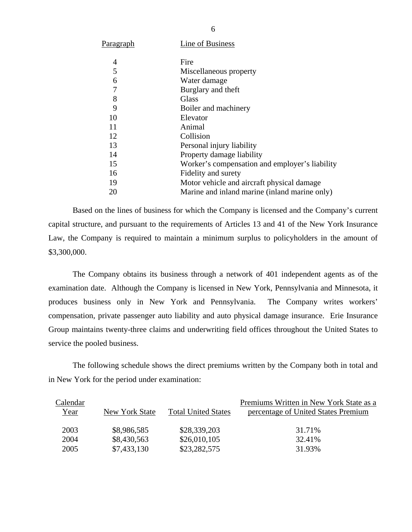| P <u>aragraph</u> | Line of Business                               |
|-------------------|------------------------------------------------|
| 4                 | Fire                                           |
| 5                 | Miscellaneous property                         |
| 6                 | Water damage                                   |
| 7                 | Burglary and theft                             |
| 8                 | Glass                                          |
| 9                 | Boiler and machinery                           |
| 10                | Elevator                                       |
| 11                | Animal                                         |
| 12                | Collision                                      |
| 13                | Personal injury liability                      |
| 14                | Property damage liability                      |
| 15                | Worker's compensation and employer's liability |
| 16                | Fidelity and surety                            |
| 19                | Motor vehicle and aircraft physical damage     |
| 20                | Marine and inland marine (inland marine only)  |

Based on the lines of business for which the Company is licensed and the Company's current capital structure, and pursuant to the requirements of Articles 13 and 41 of the New York Insurance Law, the Company is required to maintain a minimum surplus to policyholders in the amount of \$3,300,000.

The Company obtains its business through a network of 401 independent agents as of the examination date. Although the Company is licensed in New York, Pennsylvania and Minnesota, it produces business only in New York and Pennsylvania. The Company writes workers' compensation, private passenger auto liability and auto physical damage insurance. Erie Insurance Group maintains twenty-three claims and underwriting field offices throughout the United States to service the pooled business.

The following schedule shows the direct premiums written by the Company both in total and in New York for the period under examination:

| Calendar    |                |                            | Premiums Written in New York State as a |
|-------------|----------------|----------------------------|-----------------------------------------|
| <u>Year</u> | New York State | <b>Total United States</b> | percentage of United States Premium     |
| 2003        | \$8,986,585    | \$28,339,203               | 31.71%                                  |
| 2004        | \$8,430,563    | \$26,010,105               | 32.41%                                  |
| 2005        | \$7,433,130    | \$23,282,575               | 31.93%                                  |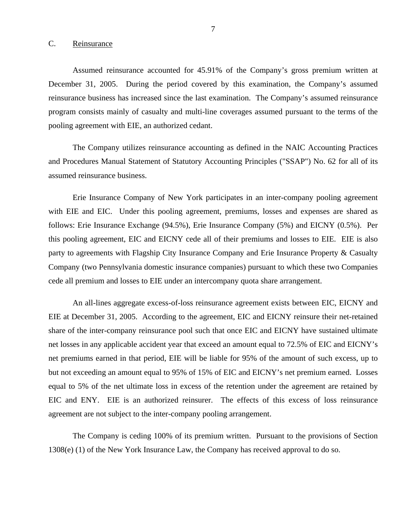## <span id="page-8-0"></span>C. Reinsurance

Assumed reinsurance accounted for 45.91% of the Company's gross premium written at December 31, 2005. During the period covered by this examination, the Company's assumed reinsurance business has increased since the last examination. The Company's assumed reinsurance program consists mainly of casualty and multi-line coverages assumed pursuant to the terms of the pooling agreement with EIE, an authorized cedant.

The Company utilizes reinsurance accounting as defined in the NAIC Accounting Practices and Procedures Manual Statement of Statutory Accounting Principles ("SSAP") No. 62 for all of its assumed reinsurance business.

Erie Insurance Company of New York participates in an inter-company pooling agreement with EIE and EIC. Under this pooling agreement, premiums, losses and expenses are shared as follows: Erie Insurance Exchange (94.5%), Erie Insurance Company (5%) and EICNY (0.5%). Per this pooling agreement, EIC and EICNY cede all of their premiums and losses to EIE. EIE is also party to agreements with Flagship City Insurance Company and Erie Insurance Property & Casualty Company (two Pennsylvania domestic insurance companies) pursuant to which these two Companies cede all premium and losses to EIE under an intercompany quota share arrangement.

An all-lines aggregate excess-of-loss reinsurance agreement exists between EIC, EICNY and EIE at December 31, 2005. According to the agreement, EIC and EICNY reinsure their net-retained share of the inter-company reinsurance pool such that once EIC and EICNY have sustained ultimate net losses in any applicable accident year that exceed an amount equal to 72.5% of EIC and EICNY's net premiums earned in that period, EIE will be liable for 95% of the amount of such excess, up to but not exceeding an amount equal to 95% of 15% of EIC and EICNY's net premium earned. Losses equal to 5% of the net ultimate loss in excess of the retention under the agreement are retained by EIC and ENY. EIE is an authorized reinsurer. The effects of this excess of loss reinsurance agreement are not subject to the inter-company pooling arrangement.

The Company is ceding 100% of its premium written. Pursuant to the provisions of Section 1308(e) (1) of the New York Insurance Law, the Company has received approval to do so.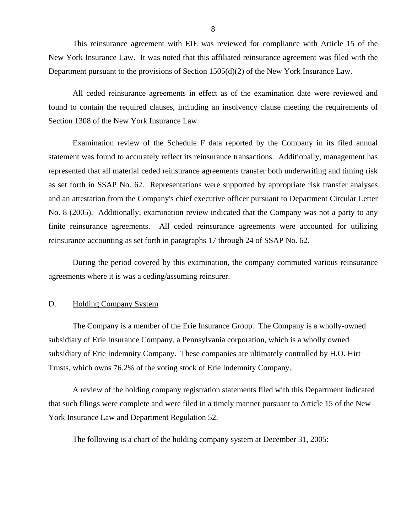<span id="page-9-0"></span>This reinsurance agreement with EIE was reviewed for compliance with Article 15 of the New York Insurance Law. It was noted that this affiliated reinsurance agreement was filed with the Department pursuant to the provisions of Section 1505(d)(2) of the New York Insurance Law.

All ceded reinsurance agreements in effect as of the examination date were reviewed and found to contain the required clauses, including an insolvency clause meeting the requirements of Section 1308 of the New York Insurance Law.

Examination review of the Schedule F data reported by the Company in its filed annual statement was found to accurately reflect its reinsurance transactions. Additionally, management has represented that all material ceded reinsurance agreements transfer both underwriting and timing risk as set forth in SSAP No. 62. Representations were supported by appropriate risk transfer analyses and an attestation from the Company's chief executive officer pursuant to Department Circular Letter No. 8 (2005). Additionally, examination review indicated that the Company was not a party to any finite reinsurance agreements. All ceded reinsurance agreements were accounted for utilizing reinsurance accounting as set forth in paragraphs 17 through 24 of SSAP No. 62.

During the period covered by this examination, the company commuted various reinsurance agreements where it is was a ceding/assuming reinsurer.

## D. Holding Company System

The Company is a member of the Erie Insurance Group. The Company is a wholly-owned subsidiary of Erie Insurance Company, a Pennsylvania corporation, which is a wholly owned subsidiary of Erie Indemnity Company. These companies are ultimately controlled by H.O. Hirt Trusts, which owns 76.2% of the voting stock of Erie Indemnity Company.

A review of the holding company registration statements filed with this Department indicated that such filings were complete and were filed in a timely manner pursuant to Article 15 of the New York Insurance Law and Department Regulation 52.

The following is a chart of the holding company system at December 31, 2005: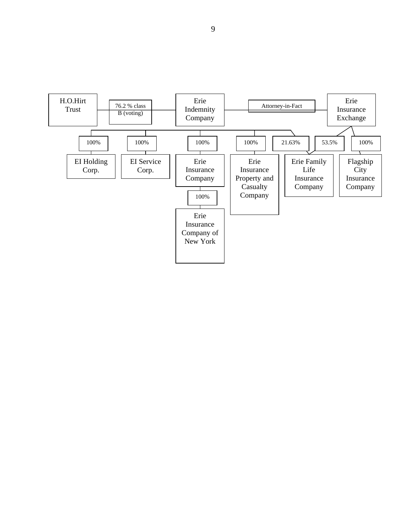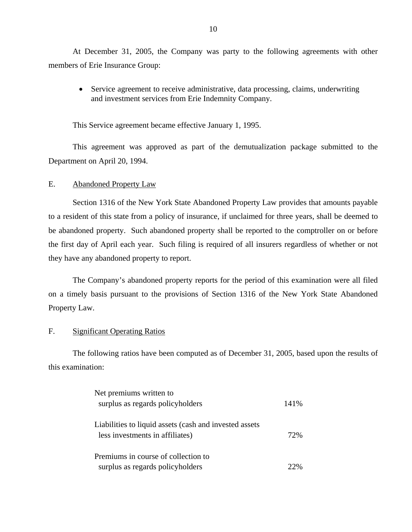At December 31, 2005, the Company was party to the following agreements with other members of Erie Insurance Group:

 Service agreement to receive administrative, data processing, claims, underwriting and investment services from Erie Indemnity Company.

This Service agreement became effective January 1, 1995.

This agreement was approved as part of the demutualization package submitted to the Department on April 20, 1994.

## E. Abandoned Property Law

Section 1316 of the New York State Abandoned Property Law provides that amounts payable to a resident of this state from a policy of insurance, if unclaimed for three years, shall be deemed to be abandoned property. Such abandoned property shall be reported to the comptroller on or before the first day of April each year. Such filing is required of all insurers regardless of whether or not they have any abandoned property to report.

The Company's abandoned property reports for the period of this examination were all filed on a timely basis pursuant to the provisions of Section 1316 of the New York State Abandoned Property Law.

## F. Significant Operating Ratios

The following ratios have been computed as of December 31, 2005, based upon the results of this examination:

| Net premiums written to                                |        |
|--------------------------------------------------------|--------|
| surplus as regards policyholders                       | 141%   |
| Liabilities to liquid assets (cash and invested assets |        |
| less investments in affiliates)                        | 72%    |
| Premiums in course of collection to                    |        |
| surplus as regards policyholders                       | $22\%$ |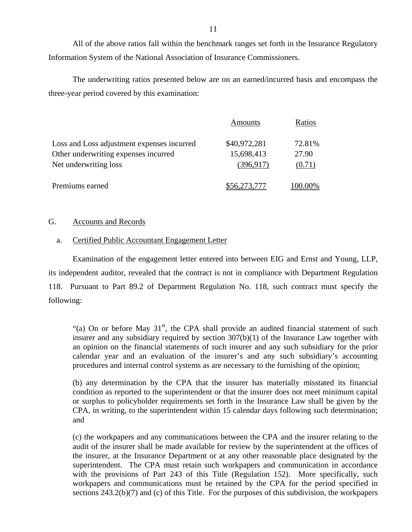<span id="page-12-0"></span>All of the above ratios fall within the benchmark ranges set forth in the Insurance Regulatory Information System of the National Association of Insurance Commissioners.

The underwriting ratios presented below are on an earned/incurred basis and encompass the three-year period covered by this examination:

|                                            | Amounts      | Ratios  |
|--------------------------------------------|--------------|---------|
| Loss and Loss adjustment expenses incurred | \$40,972,281 | 72.81%  |
| Other underwriting expenses incurred       | 15,698,413   | 27.90   |
| Net underwriting loss                      | (396, 917)   | (0.71)  |
| Premiums earned                            | \$56,273,777 | 100.00% |

## G. Accounts and Records

## a. Certified Public Accountant Engagement Letter

Examination of the engagement letter entered into between EIG and Ernst and Young, LLP, its independent auditor, revealed that the contract is not in compliance with Department Regulation 118. Pursuant to Part 89.2 of Department Regulation No. 118, such contract must specify the following:

"(a) On or before May  $31<sup>st</sup>$ , the CPA shall provide an audited financial statement of such insurer and any subsidiary required by section 307(b)(1) of the Insurance Law together with an opinion on the financial statements of such insurer and any such subsidiary for the prior calendar year and an evaluation of the insurer's and any such subsidiary's accounting procedures and internal control systems as are necessary to the furnishing of the opinion;

(b) any determination by the CPA that the insurer has materially misstated its financial condition as reported to the superintendent or that the insurer does not meet minimum capital or surplus to policyholder requirements set forth in the Insurance Law shall be given by the CPA, in writing, to the superintendent within 15 calendar days following such determination; and

(c) the workpapers and any communications between the CPA and the insurer relating to the audit of the insurer shall be made available for review by the superintendent at the offices of the insurer, at the Insurance Department or at any other reasonable place designated by the superintendent. The CPA must retain such workpapers and communication in accordance with the provisions of Part 243 of this Title (Regulation 152). More specifically, such workpapers and communications must be retained by the CPA for the period specified in sections 243.2(b)(7) and (c) of this Title. For the purposes of this subdivision, the workpapers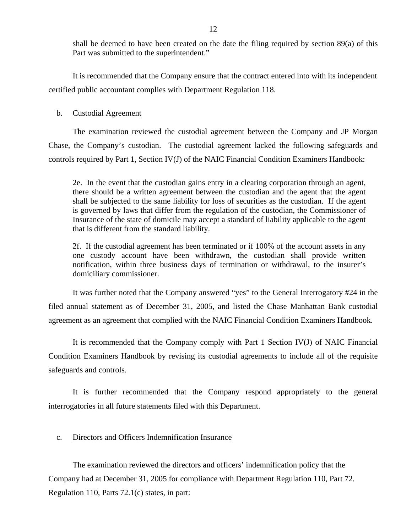shall be deemed to have been created on the date the filing required by section 89(a) of this Part was submitted to the superintendent."

It is recommended that the Company ensure that the contract entered into with its independent certified public accountant complies with Department Regulation 118.

## b. Custodial Agreement

The examination reviewed the custodial agreement between the Company and JP Morgan Chase, the Company's custodian. The custodial agreement lacked the following safeguards and controls required by Part 1, Section IV(J) of the NAIC Financial Condition Examiners Handbook:

2e. In the event that the custodian gains entry in a clearing corporation through an agent, there should be a written agreement between the custodian and the agent that the agent shall be subjected to the same liability for loss of securities as the custodian. If the agent is governed by laws that differ from the regulation of the custodian, the Commissioner of Insurance of the state of domicile may accept a standard of liability applicable to the agent that is different from the standard liability.

2f. If the custodial agreement has been terminated or if 100% of the account assets in any one custody account have been withdrawn, the custodian shall provide written notification, within three business days of termination or withdrawal, to the insurer's domiciliary commissioner.

It was further noted that the Company answered "yes" to the General Interrogatory #24 in the filed annual statement as of December 31, 2005, and listed the Chase Manhattan Bank custodial agreement as an agreement that complied with the NAIC Financial Condition Examiners Handbook.

It is recommended that the Company comply with Part 1 Section IV(J) of NAIC Financial Condition Examiners Handbook by revising its custodial agreements to include all of the requisite safeguards and controls.

It is further recommended that the Company respond appropriately to the general interrogatories in all future statements filed with this Department.

## c. Directors and Officers Indemnification Insurance

The examination reviewed the directors and officers' indemnification policy that the Company had at December 31, 2005 for compliance with Department Regulation 110, Part 72. Regulation 110, Parts 72.1(c) states, in part: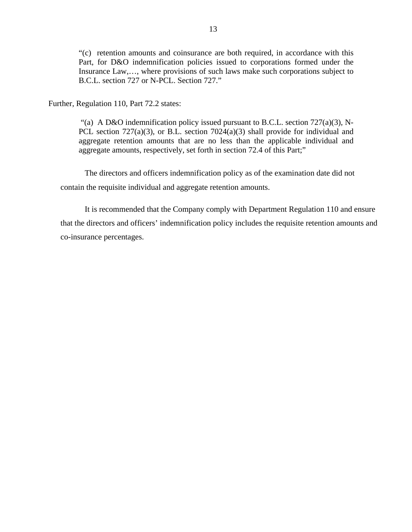"(c) retention amounts and coinsurance are both required, in accordance with this Part, for D&O indemnification policies issued to corporations formed under the Insurance Law,…, where provisions of such laws make such corporations subject to B.C.L. section 727 or N-PCL. Section 727."

Further, Regulation 110, Part 72.2 states:

"(a) A D&O indemnification policy issued pursuant to B.C.L. section  $727(a)(3)$ , N-PCL section 727(a)(3), or B.L. section 7024(a)(3) shall provide for individual and aggregate retention amounts that are no less than the applicable individual and aggregate amounts, respectively, set forth in section 72.4 of this Part;"

The directors and officers indemnification policy as of the examination date did not contain the requisite individual and aggregate retention amounts.

It is recommended that the Company comply with Department Regulation 110 and ensure that the directors and officers' indemnification policy includes the requisite retention amounts and co-insurance percentages.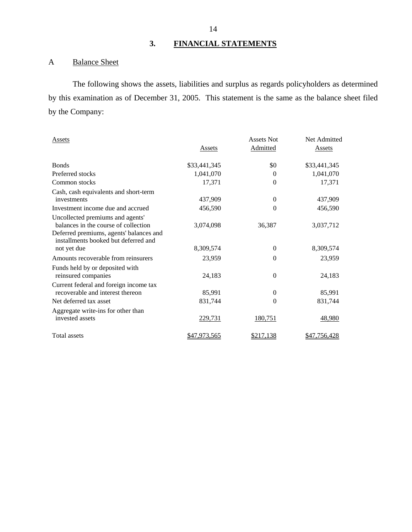# **3. FINANCIAL STATEMENTS**

# A Balance Sheet

The following shows the assets, liabilities and surplus as regards policyholders as determined by this examination as of December 31, 2005. This statement is the same as the balance sheet filed by the Company:

| Assets                                                                                                                                                      |                | <b>Assets Not</b> | Net Admitted  |
|-------------------------------------------------------------------------------------------------------------------------------------------------------------|----------------|-------------------|---------------|
|                                                                                                                                                             | Assets         | Admitted          | <b>Assets</b> |
| <b>Bonds</b>                                                                                                                                                | \$33,441,345   | \$0               | \$33,441,345  |
| Preferred stocks                                                                                                                                            | 1,041,070      | $\Omega$          | 1,041,070     |
| Common stocks                                                                                                                                               | 17,371         | $\Omega$          | 17,371        |
| Cash, cash equivalents and short-term<br>investments                                                                                                        | 437,909        | $\theta$          | 437,909       |
| Investment income due and accrued                                                                                                                           | 456,590        | 0                 | 456,590       |
| Uncollected premiums and agents'<br>balances in the course of collection<br>Deferred premiums, agents' balances and<br>installments booked but deferred and | 3,074,098      | 36,387            | 3,037,712     |
| not yet due                                                                                                                                                 | 8,309,574      | $\theta$          | 8,309,574     |
| Amounts recoverable from reinsurers                                                                                                                         | 23,959         | $\Omega$          | 23,959        |
| Funds held by or deposited with<br>reinsured companies                                                                                                      | 24,183         | $\mathbf{0}$      | 24,183        |
| Current federal and foreign income tax<br>recoverable and interest thereon                                                                                  | 85,991         | $\theta$          | 85,991        |
| Net deferred tax asset                                                                                                                                      | 831,744        | $\Omega$          | 831,744       |
| Aggregate write-ins for other than<br>invested assets                                                                                                       | <u>229,731</u> | 180,751           | 48,980        |
| <b>Total assets</b>                                                                                                                                         | \$47,973,565   | \$217,138         | \$47,756,428  |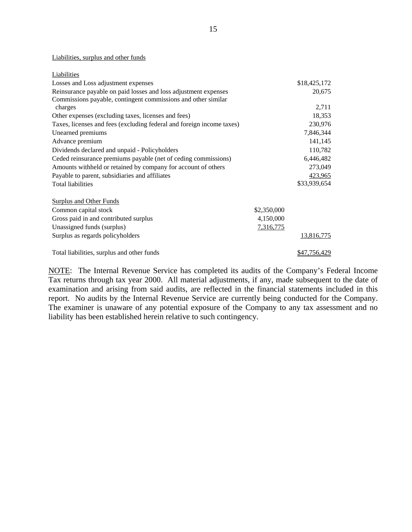### Liabilities, surplus and other funds

| Liabilities                                                           |                  |              |
|-----------------------------------------------------------------------|------------------|--------------|
| Losses and Loss adjustment expenses                                   |                  | \$18,425,172 |
| Reinsurance payable on paid losses and loss adjustment expenses       |                  | 20,675       |
| Commissions payable, contingent commissions and other similar         |                  |              |
| charges                                                               |                  | 2,711        |
| Other expenses (excluding taxes, licenses and fees)                   |                  | 18,353       |
| Taxes, licenses and fees (excluding federal and foreign income taxes) |                  | 230,976      |
| Unearned premiums                                                     |                  | 7,846,344    |
| Advance premium                                                       |                  | 141,145      |
| Dividends declared and unpaid - Policyholders                         |                  | 110,782      |
| Ceded reinsurance premiums payable (net of ceding commissions)        |                  | 6,446,482    |
| Amounts withheld or retained by company for account of others         |                  | 273,049      |
| Payable to parent, subsidiaries and affiliates                        |                  | 423,965      |
| <b>Total liabilities</b>                                              |                  | \$33,939,654 |
|                                                                       |                  |              |
| <b>Surplus and Other Funds</b>                                        |                  |              |
| Common capital stock                                                  | \$2,350,000      |              |
| Gross paid in and contributed surplus                                 | 4,150,000        |              |
| Unassigned funds (surplus)                                            | <u>7,316,775</u> |              |
| Surplus as regards policyholders                                      |                  | 13,816,775   |
|                                                                       |                  |              |
| Total liabilities, surplus and other funds                            |                  | \$47,756,429 |

NOTE: The Internal Revenue Service has completed its audits of the Company's Federal Income Tax returns through tax year 2000. All material adjustments, if any, made subsequent to the date of examination and arising from said audits, are reflected in the financial statements included in this report. No audits by the Internal Revenue Service are currently being conducted for the Company. The examiner is unaware of any potential exposure of the Company to any tax assessment and no liability has been established herein relative to such contingency.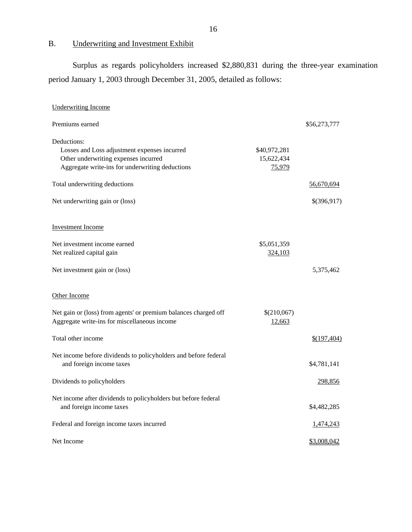# B. Underwriting and Investment Exhibit

Surplus as regards policyholders increased \$2,880,831 during the three-year examination period January 1, 2003 through December 31, 2005, detailed as follows:

| <b>Underwriting Income</b>                                                                                                                             |                                      |              |
|--------------------------------------------------------------------------------------------------------------------------------------------------------|--------------------------------------|--------------|
| Premiums earned                                                                                                                                        |                                      | \$56,273,777 |
| Deductions:<br>Losses and Loss adjustment expenses incurred<br>Other underwriting expenses incurred<br>Aggregate write-ins for underwriting deductions | \$40,972,281<br>15,622,434<br>75,979 |              |
| Total underwriting deductions                                                                                                                          |                                      | 56,670,694   |
| Net underwriting gain or (loss)                                                                                                                        |                                      | \$(396,917)  |
| <b>Investment Income</b>                                                                                                                               |                                      |              |
| Net investment income earned<br>Net realized capital gain                                                                                              | \$5,051,359<br>324,103               |              |
| Net investment gain or (loss)                                                                                                                          |                                      | 5,375,462    |
| Other Income                                                                                                                                           |                                      |              |
| Net gain or (loss) from agents' or premium balances charged off<br>Aggregate write-ins for miscellaneous income                                        | \$(210,067)<br>12,663                |              |
| Total other income                                                                                                                                     |                                      | \$(197,404)  |
| Net income before dividends to policyholders and before federal<br>and foreign income taxes                                                            |                                      | \$4,781,141  |
| Dividends to policyholders                                                                                                                             |                                      | 298,856      |
| Net income after dividends to policyholders but before federal<br>and foreign income taxes                                                             |                                      | \$4,482,285  |
| Federal and foreign income taxes incurred                                                                                                              |                                      | 1,474,243    |
| Net Income                                                                                                                                             |                                      | \$3,008,042  |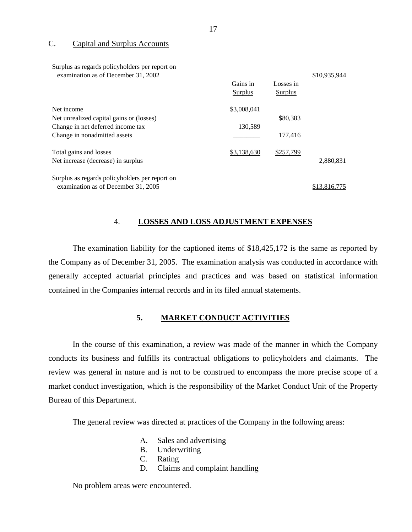## <span id="page-18-0"></span>C. Capital and Surplus Accounts

| Surplus as regards policyholders per report on<br>examination as of December 31, 2002 |             |           | \$10,935,944 |
|---------------------------------------------------------------------------------------|-------------|-----------|--------------|
|                                                                                       | Gains in    | Losses in |              |
|                                                                                       | Surplus     | Surplus   |              |
| Net income                                                                            | \$3,008,041 |           |              |
| Net unrealized capital gains or (losses)                                              |             | \$80,383  |              |
| Change in net deferred income tax                                                     | 130,589     |           |              |
| Change in nonadmitted assets                                                          |             | 177,416   |              |
| Total gains and losses                                                                | \$3,138,630 | \$257,799 |              |
| Net increase (decrease) in surplus                                                    |             |           | 2,880,831    |
| Surplus as regards policyholders per report on                                        |             |           |              |
| examination as of December 31, 2005                                                   |             |           | \$13,816,775 |

## 4. **LOSSES AND LOSS ADJUSTMENT EXPENSES**

The examination liability for the captioned items of \$18,425,172 is the same as reported by the Company as of December 31, 2005. The examination analysis was conducted in accordance with generally accepted actuarial principles and practices and was based on statistical information contained in the Companies internal records and in its filed annual statements.

# **5. MARKET CONDUCT ACTIVITIES**

In the course of this examination, a review was made of the manner in which the Company conducts its business and fulfills its contractual obligations to policyholders and claimants. The review was general in nature and is not to be construed to encompass the more precise scope of a market conduct investigation, which is the responsibility of the Market Conduct Unit of the Property Bureau of this Department.

The general review was directed at practices of the Company in the following areas:

- A. Sales and advertising
- B. Underwriting
- C. Rating
- D. Claims and complaint handling

No problem areas were encountered.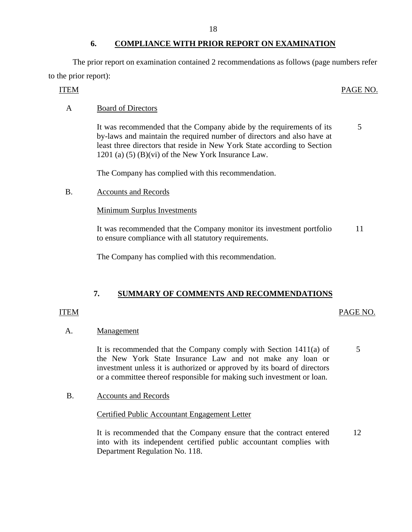# **6. COMPLIANCE WITH PRIOR REPORT ON EXAMINATION**

The prior report on examination contained 2 recommendations as follows (page numbers refer to the prior report):

## ITEM PAGE NO.

# A Board of Directors

It was recommended that the Company abide by the requirements of its by-laws and maintain the required number of directors and also have at least three directors that reside in New York State according to Section 1201 (a) (5) (B)(vi) of the New York Insurance Law. 5

The Company has complied with this recommendation.

B. Accounts and Records

Minimum Surplus Investments

It was recommended that the Company monitor its investment portfolio to ensure compliance with all statutory requirements. 11

The Company has complied with this recommendation.

# **7. SUMMARY OF COMMENTS AND RECOMMENDATIONS**

## ITEM PAGE NO.

## A. Management

It is recommended that the Company comply with Section 1411(a) of the New York State Insurance Law and not make any loan or investment unless it is authorized or approved by its board of directors or a committee thereof responsible for making such investment or loan. 5

B. Accounts and Records

## Certified Public Accountant Engagement Letter

It is recommended that the Company ensure that the contract entered into with its independent certified public accountant complies with Department Regulation No. 118. 12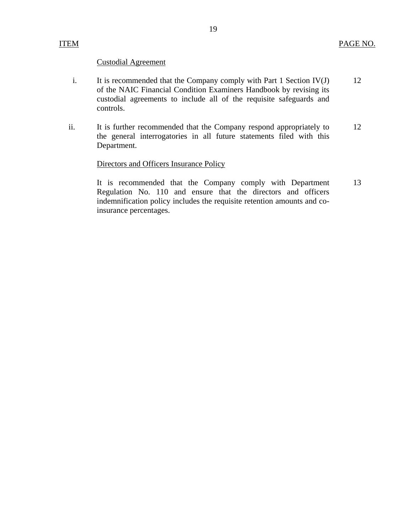## Custodial Agreement

- i. It is recommended that the Company comply with Part 1 Section IV(J) 12 of the NAIC Financial Condition Examiners Handbook by revising its custodial agreements to include all of the requisite safeguards and controls.
- ii. It is further recommended that the Company respond appropriately to 12 the general interrogatories in all future statements filed with this Department.

## Directors and Officers Insurance Policy

It is recommended that the Company comply with Department 13 Regulation No. 110 and ensure that the directors and officers indemnification policy includes the requisite retention amounts and coinsurance percentages.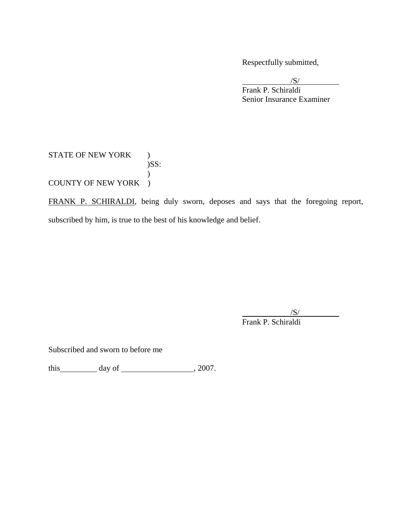Respectfully submitted,

 $\sqrt{S}$  Frank P. Schiraldi Senior Insurance Examiner

STATE OF NEW YORK ) )SS:  $\mathcal{L}$ COUNTY OF NEW YORK )

FRANK P. SCHIRALDI, being duly sworn, deposes and says that the foregoing report, subscribed by him, is true to the best of his knowledge and belief.

 $\sqrt{S}$ Frank P. Schiraldi

Subscribed and sworn to before me

this  $\_\_\_\_\_$  day of  $\_\_\_\_\_\_$ , 2007.